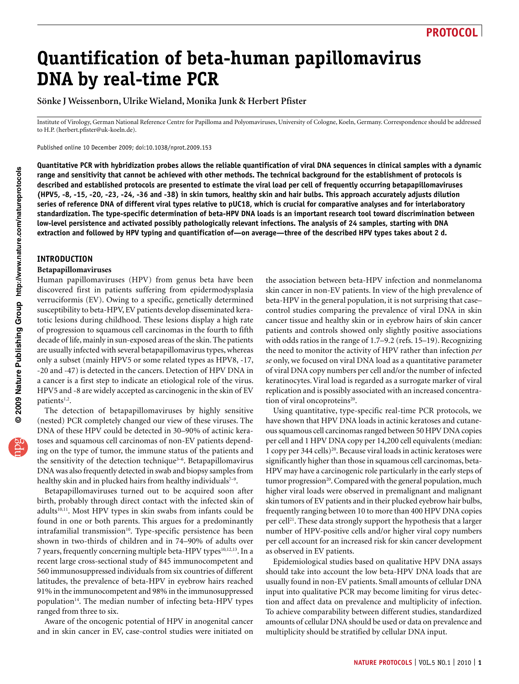# **Quantification of beta-human papillomavirus DNA by real-time PCR**

**Sönke J Weissenborn, Ulrike Wieland, Monika Junk & Herbert Pfister**

Institute of Virology, German National Reference Centre for Papilloma and Polyomaviruses, University of Cologne, Koeln, Germany. Correspondence should be addressed to H.P. (herbert.pfister@uk-koeln.de).

Published online 10 December 2009; doi:10.1038/nprot.2009.153

**Quantitative PCR with hybridization probes allows the reliable quantification of viral DNA sequences in clinical samples with a dynamic range and sensitivity that cannot be achieved with other methods. The technical background for the establishment of protocols is described and established protocols are presented to estimate the viral load per cell of frequently occurring betapapillomaviruses (HPV5, -8, -15, -20, -23, -24, -36 and -38) in skin tumors, healthy skin and hair bulbs. This approach accurately adjusts dilution series of reference DNA of different viral types relative to pUC18, which is crucial for comparative analyses and for interlaboratory standardization. The type-specific determination of beta-HPV DNA loads is an important research tool toward discrimination between low-level persistence and activated possibly pathologically relevant infections. The analysis of 24 samples, starting with DNA extraction and followed by HPV typing and quantification of—on average—three of the described HPV types takes about 2 d.**

### **INTRODUCTION**

#### **Betapapillomaviruses**

Human papillomaviruses (HPV) from genus beta have been discovered first in patients suffering from epidermodysplasia verruciformis (EV). Owing to a specific, genetically determined susceptibility to beta-HPV, EV patients develop disseminated keratotic lesions during childhood. These lesions display a high rate of progression to squamous cell carcinomas in the fourth to fifth decade of life, mainly in sun-exposed areas of the skin. The patients are usually infected with several betapapillomavirus types, whereas only a subset (mainly HPV5 or some related types as HPV8, -17, -20 and -47) is detected in the cancers. Detection of HPV DNA in a cancer is a first step to indicate an etiological role of the virus. HPV5 and -8 are widely accepted as carcinogenic in the skin of EV patients<sup>1,2</sup>.

The detection of betapapillomaviruses by highly sensitive (nested) PCR completely changed our view of these viruses. The DNA of these HPV could be detected in 30–90% of actinic keratoses and squamous cell carcinomas of non-EV patients depending on the type of tumor, the immune status of the patients and the sensitivity of the detection technique<sup>3-6</sup>. Betapapillomavirus DNA was also frequently detected in swab and biopsy samples from healthy skin and in plucked hairs from healthy individuals<sup>7-9</sup>.

Betapapillomaviruses turned out to be acquired soon after birth, probably through direct contact with the infected skin of adults<sup>10,11</sup>. Most HPV types in skin swabs from infants could be found in one or both parents. This argues for a predominantly intrafamilial transmission<sup>[10](#page-11-0)</sup>. Type-specific persistence has been shown in two-thirds of children and in 74–90% of adults over 7 years, frequently concerning multiple beta-HPV types<sup>10,12,13</sup>. In a recent large cross-sectional study of 845 immunocompetent and 560 immunosuppressed individuals from six countries of different latitudes, the prevalence of beta-HPV in eyebrow hairs reached 91% in the immunocompetent and 98% in the immunosuppressed population<sup>14</sup>. The median number of infecting beta-HPV types ranged from three to six.

Aware of the oncogenic potential of HPV in anogenital cancer and in skin cancer in EV, case-control studies were initiated on the association between beta-HPV infection and nonmelanoma skin cancer in non-EV patients. In view of the high prevalence of beta-HPV in the general population, it is not surprising that case– control studies comparing the prevalence of viral DNA in skin cancer tissue and healthy skin or in eyebrow hairs of skin cancer patients and controls showed only slightly positive associations with odds ratios in the range of 1.7–9.2 (refs. 15–19). Recognizing the need to monitor the activity of HPV rather than infection *per se* only, we focused on viral DNA load as a quantitative parameter of viral DNA copy numbers per cell and/or the number of infected keratinocytes. Viral load is regarded as a surrogate marker of viral replication and is possibly associated with an increased concentration of viral oncoproteins<sup>20</sup>.

Using quantitative, type-specific real-time PCR protocols, we have shown that HPV DNA loads in actinic keratoses and cutaneous squamous cell carcinomas ranged between 50 HPV DNA copies per cell and 1 HPV DNA copy per 14,200 cell equivalents (median: 1 copy per 344 cells)<sup>20</sup>. Because viral loads in actinic keratoses were significantly higher than those in squamous cell carcinomas, beta-HPV may have a carcinogenic role particularly in the early steps of tumor progression<sup>20</sup>. Compared with the general population, much higher viral loads were observed in premalignant and malignant skin tumors of EV patients and in their plucked eyebrow hair bulbs, frequently ranging between 10 to more than 400 HPV DNA copies per cell<sup>[21](#page-11-3)</sup>. These data strongly support the hypothesis that a larger number of HPV-positive cells and/or higher viral copy numbers per cell account for an increased risk for skin cancer development as observed in EV patients.

Epidemiological studies based on qualitative HPV DNA assays should take into account the low beta-HPV DNA loads that are usually found in non-EV patients. Small amounts of cellular DNA input into qualitative PCR may become limiting for virus detection and affect data on prevalence and multiplicity of infection. To achieve comparability between different studies, standardized amounts of cellular DNA should be used or data on prevalence and multiplicity should be stratified by cellular DNA input.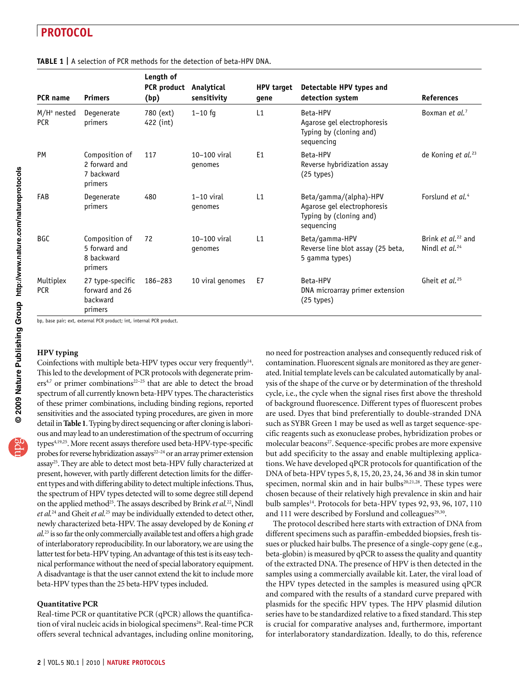| PCR name                    | <b>Primers</b>                                            | Length of<br>PCR product<br>(bp) | Analytical<br>sensitivity | <b>HPV target</b><br>gene | Detectable HPV types and<br>detection system                                                   | <b>References</b>                                   |
|-----------------------------|-----------------------------------------------------------|----------------------------------|---------------------------|---------------------------|------------------------------------------------------------------------------------------------|-----------------------------------------------------|
| $M/Ha$ nested<br><b>PCR</b> | Degenerate<br>primers                                     | 780 (ext)<br>422 (int)           | $1 - 10$ fg               | L1                        | Beta-HPV<br>Agarose gel electrophoresis<br>Typing by (cloning and)<br>sequencing               | Boxman et al. <sup>7</sup>                          |
| <b>PM</b>                   | Composition of<br>2 forward and<br>7 backward<br>primers  | 117                              | 10-100 viral<br>qenomes   | E <sub>1</sub>            | Beta-HPV<br>Reverse hybridization assay<br>$(25$ types)                                        | de Koning et al. <sup>23</sup>                      |
| FAB                         | Degenerate<br>primers                                     | 480                              | $1-10$ viral<br>genomes   | L1                        | Beta/gamma/(alpha)-HPV<br>Agarose gel electrophoresis<br>Typing by (cloning and)<br>sequencing | Forslund et al. <sup>4</sup>                        |
| <b>BGC</b>                  | Composition of<br>5 forward and<br>8 backward<br>primers  | 72                               | 10-100 viral<br>qenomes   | L1                        | Beta/gamma-HPV<br>Reverse line blot assay (25 beta,<br>5 gamma types)                          | Brink et al. <sup>22</sup> and<br>Nindl et al. $24$ |
| Multiplex<br><b>PCR</b>     | 27 type-specific<br>forward and 26<br>backward<br>primers | 186-283                          | 10 viral genomes          | E7                        | Beta-HPV<br>DNA microarray primer extension<br>$(25$ types)                                    | Gheit et al. <sup>25</sup>                          |

<span id="page-1-0"></span>**Table 1 |** A selection of PCR methods for the detection of beta-HPV DNA.

bp, base pair; ext, external PCR product; int, internal PCR product.

#### **HPV typing**

Coinfections with multiple beta-HPV types occur very frequently<sup>14</sup>. This led to the development of PCR protocols with degenerate primers<sup>4,7</sup> or primer combinations<sup>22-25</sup> that are able to detect the broad spectrum of all currently known beta-HPV types. The characteristics of these primer combinations, including binding regions, reported sensitivities and the associated typing procedures, are given in more detail in **[Table 1](#page-1-0)**. Typing by direct sequencing or after cloning is laborious and may lead to an underestimation of the spectrum of occurring types<sup>4,19,25</sup>. More recent assays therefore used beta-HPV-type-specific probes for reverse hybridization assays<sup>22-24</sup> or an array primer extension assay<sup>[25](#page-11-4)</sup>. They are able to detect most beta-HPV fully characterized at present, however, with partly different detection limits for the different types and with differing ability to detect multiple infections. Thus, the spectrum of HPV types detected will to some degree still depend on the applied method<sup>25</sup>. The assays described by Brink et al.<sup>[22](#page-11-5)</sup>, Nindl *et al.*[24](#page-11-6) and Gheit *et al.*[25](#page-11-4) may be individually extended to detect other, newly characterized beta-HPV. The assay developed by de Koning *et al.*[23](#page-11-7) is so far the only commercially available test and offers a high grade of interlaboratory reproducibility. In our laboratory, we are using the latter test for beta-HPV typing. An advantage of this test is its easy technical performance without the need of special laboratory equipment. A disadvantage is that the user cannot extend the kit to include more beta-HPV types than the 25 beta-HPV types included.

#### **Quantitative PCR**

Real-time PCR or quantitative PCR (qPCR) allows the quantifica-tion of viral nucleic acids in biological specimens<sup>[26](#page-11-8)</sup>. Real-time PCR offers several technical advantages, including online monitoring,

no need for postreaction analyses and consequently reduced risk of contamination. Fluorescent signals are monitored as they are generated. Initial template levels can be calculated automatically by analysis of the shape of the curve or by determination of the threshold cycle, i.e., the cycle when the signal rises first above the threshold of background fluorescence. Different types of fluorescent probes are used. Dyes that bind preferentially to double-stranded DNA such as SYBR Green 1 may be used as well as target sequence-specific reagents such as exonuclease probes, hybridization probes or molecular beacons<sup>27</sup>. Sequence-specific probes are more expensive but add specificity to the assay and enable multiplexing applications. We have developed qPCR protocols for quantification of the DNA of beta-HPV types 5, 8, 15, 20, 23, 24, 36 and 38 in skin tumor specimen, normal skin and in hair bulbs<sup>20,21,28</sup>. These types were chosen because of their relatively high prevalence in skin and hair bulb samples<sup>14</sup>. Protocols for beta-HPV types 92, 93, 96, 107, 110 and 111 were described by Forslund and colleagues<sup>29,30</sup>.

The protocol described here starts with extraction of DNA from different specimens such as paraffin-embedded biopsies, fresh tissues or plucked hair bulbs. The presence of a single-copy gene (e.g., beta-globin) is measured by qPCR to assess the quality and quantity of the extracted DNA. The presence of HPV is then detected in the samples using a commercially available kit. Later, the viral load of the HPV types detected in the samples is measured using qPCR and compared with the results of a standard curve prepared with plasmids for the specific HPV types. The HPV plasmid dilution series have to be standardized relative to a fixed standard. This step is crucial for comparative analyses and, furthermore, important for interlaboratory standardization. Ideally, to do this, reference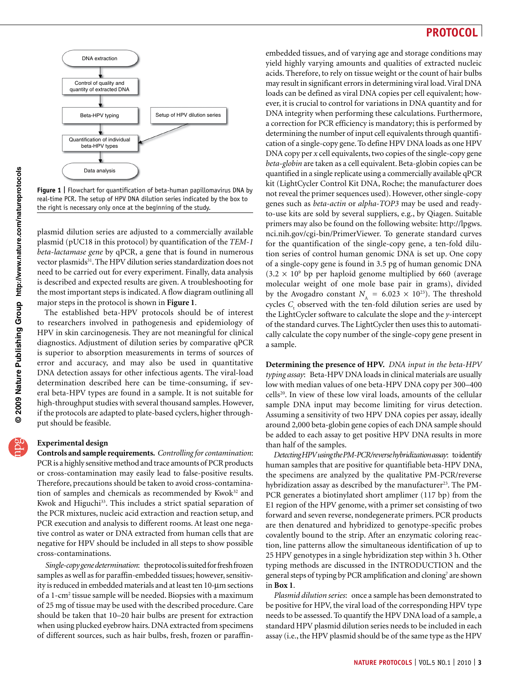

<span id="page-2-0"></span>**Figure 1 |** Flowchart for quantification of beta-human papillomavirus DNA by real-time PCR. The setup of HPV DNA dilution series indicated by the box to the right is necessary only once at the beginning of the study.

plasmid dilution series are adjusted to a commercially available plasmid (pUC18 in this protocol) by quantification of the *TEM-1 beta-lactamase gene* by qPCR, a gene that is found in numerous vector plasmids<sup>31</sup>. The HPV dilution series standardization does not need to be carried out for every experiment. Finally, data analysis is described and expected results are given. A troubleshooting for the most important steps is indicated. A flow diagram outlining all major steps in the protocol is shown in **[Figure 1](#page-2-0)**.

The established beta-HPV protocols should be of interest to researchers involved in pathogenesis and epidemiology of HPV in skin carcinogenesis. They are not meaningful for clinical diagnostics. Adjustment of dilution series by comparative qPCR is superior to absorption measurements in terms of sources of error and accuracy, and may also be used in quantitative DNA detection assays for other infectious agents. The viral-load determination described here can be time-consuming, if several beta-HPV types are found in a sample. It is not suitable for high-throughput studies with several thousand samples. However, if the protocols are adapted to plate-based cyclers, higher throughput should be feasible.

#### **Experimental design**

**Controls and sample requirements.** *Controlling for contamination*: PCR is a highly sensitive method and trace amounts of PCR products or cross-contamination may easily lead to false-positive results. Therefore, precautions should be taken to avoid cross-contamina-tion of samples and chemicals as recommended by Kwok<sup>[32](#page-11-11)</sup> and Kwok and Higuchi<sup>[33](#page-12-0)</sup>. This includes a strict spatial separation of the PCR mixtures, nucleic acid extraction and reaction setup, and PCR execution and analysis to different rooms. At least one negative control as water or DNA extracted from human cells that are negative for HPV should be included in all steps to show possible cross-contaminations.

*Single-copy gene determination*: the protocol is suited for fresh frozen samples as well as for paraffin-embedded tissues; however, sensitivity is reduced in embedded materials and at least ten 10-µm sections of a 1-cm<sup>2</sup> tissue sample will be needed. Biopsies with a maximum of 25 mg of tissue may be used with the described procedure. Care should be taken that 10–20 hair bulbs are present for extraction when using plucked eyebrow hairs. DNA extracted from specimens of different sources, such as hair bulbs, fresh, frozen or paraffin-

### **protocol**

embedded tissues, and of varying age and storage conditions may yield highly varying amounts and qualities of extracted nucleic acids. Therefore, to rely on tissue weight or the count of hair bulbs may result in significant errors in determining viral load. Viral DNA loads can be defined as viral DNA copies per cell equivalent; however, it is crucial to control for variations in DNA quantity and for DNA integrity when performing these calculations. Furthermore, a correction for PCR efficiency is mandatory; this is performed by determining the number of input cell equivalents through quantification of a single-copy gene. To define HPV DNA loads as one HPV DNA copy per *x* cell equivalents, two copies of the single-copy gene *beta-globin* are taken as a cell equivalent. Beta-globin copies can be quantified in a single replicate using a commercially available qPCR kit (LightCycler Control Kit DNA, Roche; the manufacturer does not reveal the primer sequences used). However, other single-copy genes such as *beta-actin* or *alpha-TOP3* may be used and readyto-use kits are sold by several suppliers, e.g., by Qiagen. Suitable primers may also be found on the following website: http://lpgws. nci.nih.gov/cgi-bin/PrimerViewer. To generate standard curves for the quantification of the single-copy gene, a ten-fold dilution series of control human genomic DNA is set up. One copy of a single-copy gene is found in 3.5 pg of human genomic DNA  $(3.2 \times 10^9)$  bp per haploid genome multiplied by 660 (average molecular weight of one mole base pair in grams), divided by the Avogadro constant  $N_A = 6.023 \times 10^{23}$ ). The threshold cycles C<sub>t</sub> observed with the ten-fold dilution series are used by the LightCycler software to calculate the slope and the *y*-intercept of the standard curves. The LightCycler then uses this to automatically calculate the copy number of the single-copy gene present in a sample.

**Determining the presence of HPV.** *DNA input in the beta-HPV typing assay*: Beta-HPV DNA loads in clinical materials are usually low with median values of one beta-HPV DNA copy per 300–400 cells<sup>[20](#page-11-2)</sup>. In view of these low viral loads, amounts of the cellular sample DNA input may become limiting for virus detection. Assuming a sensitivity of two HPV DNA copies per assay, ideally around 2,000 beta-globin gene copies of each DNA sample should be added to each assay to get positive HPV DNA results in more than half of the samples.

*Detecting HPV using the PM-PCR/reverse hybridization assay*: to identify human samples that are positive for quantifiable beta-HPV DNA, the specimens are analyzed by the qualitative PM-PCR/reverse hybridization assay as described by the manufacturer<sup>23</sup>. The PM-PCR generates a biotinylated short amplimer (117 bp) from the E1 region of the HPV genome, with a primer set consisting of two forward and seven reverse, nondegenerate primers. PCR products are then denatured and hybridized to genotype-specific probes covalently bound to the strip. After an enzymatic coloring reaction, line patterns allow the simultaneous identification of up to 25 HPV genotypes in a single hybridization step within 3 h. Other typing methods are discussed in the INTRODUCTION and the general steps of typing by PCR amplification and cloning<sup>7</sup> are shown in **Box 1**.

*Plasmid dilution series*: once a sample has been demonstrated to be positive for HPV, the viral load of the corresponding HPV type needs to be assessed. To quantify the HPV DNA load of a sample, a standard HPV plasmid dilution series needs to be included in each assay (i.e., the HPV plasmid should be of the same type as the HPV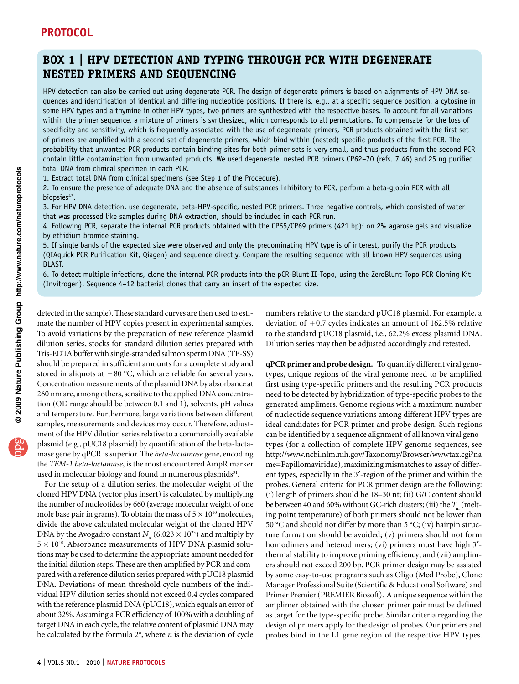# **Box 1 | HPV detection and typing through PCR with degenerate nested primers and sequencing**

HPV detection can also be carried out using degenerate PCR. The design of degenerate primers is based on alignments of HPV DNA sequences and identification of identical and differing nucleotide positions. If there is, e.g., at a specific sequence position, a cytosine in some HPV types and a thymine in other HPV types, two primers are synthesized with the respective bases. To account for all variations within the primer sequence, a mixture of primers is synthesized, which corresponds to all permutations. To compensate for the loss of specificity and sensitivity, which is frequently associated with the use of degenerate primers, PCR products obtained with the first set of primers are amplified with a second set of degenerate primers, which bind within (nested) specific products of the first PCR. The probability that unwanted PCR products contain binding sites for both primer sets is very small, and thus products from the second PCR contain little contamination from unwanted products. We used degenerate, nested PCR primers CP62–70 (refs. 7,46) and 25 ng purified total DNA from clinical specimen in each PCR.

1. Extract total DNA from clinical specimens (see Step 1 of the Procedure).

2. To ensure the presence of adequate DNA and the absence of substances inhibitory to PCR, perform a beta-globin PCR with all biopsies<sup>[47](#page-12-1)</sup>.

3. For HPV DNA detection, use degenerate, beta-HPV-specific, nested PCR primers. Three negative controls, which consisted of water that was processed like samples during DNA extraction, should be included in each PCR run.

4. Following PCR, separate the internal PCR products obtained with the CP65/CP69 primers (421 bp[\)7](#page-11-12) on 2% agarose gels and visualize by ethidium bromide staining.

5. If single bands of the expected size were observed and only the predominating HPV type is of interest, purify the PCR products (QIAquick PCR Purification Kit, Qiagen) and sequence directly. Compare the resulting sequence with all known HPV sequences using BLAST.

6. To detect multiple infections, clone the internal PCR products into the pCR-Blunt II-Topo, using the ZeroBlunt-Topo PCR Cloning Kit (Invitrogen). Sequence 4–12 bacterial clones that carry an insert of the expected size.

detected in the sample). These standard curves are then used to estimate the number of HPV copies present in experimental samples. To avoid variations by the preparation of new reference plasmid dilution series, stocks for standard dilution series prepared with Tris-EDTA buffer with single-stranded salmon sperm DNA (TE-SS) should be prepared in sufficient amounts for a complete study and stored in aliquots at −80 °C, which are reliable for several years. Concentration measurements of the plasmid DNA by absorbance at 260 nm are, among others, sensitive to the applied DNA concentration (OD range should be between 0.1 and 1), solvents, pH values and temperature. Furthermore, large variations between different samples, measurements and devices may occur. Therefore, adjustment of the HPV dilution series relative to a commercially available plasmid (e.g., pUC18 plasmid) by quantification of the beta-lactamase gene by qPCR is superior. The *beta-lactamase* gene, encoding the *TEM-1 beta-lactamase*, is the most encountered AmpR marker used in molecular biology and found in numerous plasmids<sup>[31](#page-11-10)</sup>.

For the setup of a dilution series, the molecular weight of the cloned HPV DNA (vector plus insert) is calculated by multiplying the number of nucleotides by 660 (average molecular weight of one mole base pair in grams). To obtain the mass of  $5 \times 10^{10}$  molecules, divide the above calculated molecular weight of the cloned HPV DNA by the Avogadro constant  $N_A$  (6.023  $\times$  10<sup>23</sup>) and multiply by  $5 \times 10^{10}$ . Absorbance measurements of HPV DNA plasmid solutions may be used to determine the appropriate amount needed for the initial dilution steps. These are then amplified by PCR and compared with a reference dilution series prepared with pUC18 plasmid DNA. Deviations of mean threshold cycle numbers of the individual HPV dilution series should not exceed 0.4 cycles compared with the reference plasmid DNA (pUC18), which equals an error of about 32%. Assuming a PCR efficiency of 100% with a doubling of target DNA in each cycle, the relative content of plasmid DNA may be calculated by the formula 2*<sup>n</sup>* , where *n* is the deviation of cycle numbers relative to the standard pUC18 plasmid. For example, a deviation of +0.7 cycles indicates an amount of 162.5% relative to the standard pUC18 plasmid, i.e., 62.2% excess plasmid DNA. Dilution series may then be adjusted accordingly and retested.

**qPCR primer and probe design.** To quantify different viral genotypes, unique regions of the viral genome need to be amplified first using type-specific primers and the resulting PCR products need to be detected by hybridization of type-specific probes to the generated amplimers. Genome regions with a maximum number of nucleotide sequence variations among different HPV types are ideal candidates for PCR primer and probe design. Such regions can be identified by a sequence alignment of all known viral genotypes (for a collection of complete HPV genome sequences, see http://www.ncbi.nlm.nih.gov/Taxonomy/Browser/wwwtax.cgi?na me=Papillomaviridae), maximizing mismatches to assay of different types, especially in the 3′-region of the primer and within the probes. General criteria for PCR primer design are the following: (i) length of primers should be 18–30 nt; (ii) G/C content should be between 40 and 60% without GC-rich clusters; (iii) the  $T_m$  (melting point temperature) of both primers should not be lower than 50 °C and should not differ by more than 5 °C; (iv) hairpin structure formation should be avoided; (v) primers should not form homodimers and heterodimers; (vi) primers must have high 3'thermal stability to improve priming efficiency; and (vii) amplimers should not exceed 200 bp. PCR primer design may be assisted by some easy-to-use programs such as Oligo (Med Probe), Clone Manager Professional Suite (Scientific & Educational Software) and Primer Premier (PREMIER Biosoft). A unique sequence within the amplimer obtained with the chosen primer pair must be defined as target for the type-specific probe. Similar criteria regarding the design of primers apply for the design of probes. Our primers and probes bind in the L1 gene region of the respective HPV types.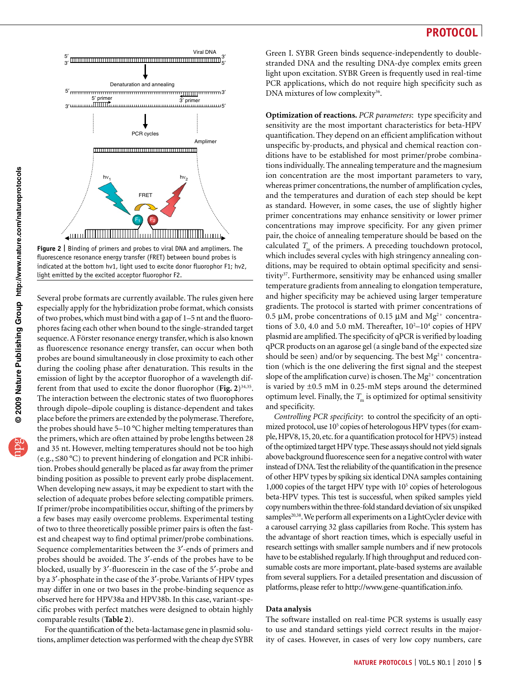

<span id="page-4-0"></span>**Figure 2 |** Binding of primers and probes to viral DNA and amplimers. The fluorescence resonance energy transfer (FRET) between bound probes is indicated at the bottom hv1, light used to excite donor fluorophor F1; hv2, light emitted by the excited acceptor fluorophor F2.

Several probe formats are currently available. The rules given here especially apply for the hybridization probe format, which consists of two probes, which must bind with a gap of 1–5 nt and the fluorophores facing each other when bound to the single-stranded target sequence. A Förster resonance energy transfer, which is also known as fluorescence resonance energy transfer, can occur when both probes are bound simultaneously in close proximity to each other during the cooling phase after denaturation. This results in the emission of light by the acceptor fluorophor of a wavelength different from that used to excite the donor fluorophor (Fig.  $2$ )<sup>34,35</sup>. The interaction between the electronic states of two fluorophores through dipole–dipole coupling is distance-dependent and takes place before the primers are extended by the polymerase. Therefore, the probes should have 5–10 °C higher melting temperatures than the primers, which are often attained by probe lengths between 28 and 35 nt. However, melting temperatures should not be too high (e.g., ≤80 °C) to prevent hindering of elongation and PCR inhibition. Probes should generally be placed as far away from the primer binding position as possible to prevent early probe displacement. When developing new assays, it may be expedient to start with the selection of adequate probes before selecting compatible primers. If primer/probe incompatibilities occur, shifting of the primers by a few bases may easily overcome problems. Experimental testing of two to three theoretically possible primer pairs is often the fastest and cheapest way to find optimal primer/probe combinations. Sequence complementarities between the 3′-ends of primers and probes should be avoided. The 3′-ends of the probes have to be blocked, usually by 3′-fluorescein in the case of the 5′-probe and by a 3′-phosphate in the case of the 3′-probe. Variants of HPV types may differ in one or two bases in the probe-binding sequence as observed here for HPV38a and HPV38b. In this case, variant-specific probes with perfect matches were designed to obtain highly comparable results (**[Table 2](#page-5-0)**).

For the quantification of the beta-lactamase gene in plasmid solutions, amplimer detection was performed with the cheap dye SYBR Green I. SYBR Green binds sequence-independently to doublestranded DNA and the resulting DNA-dye complex emits green light upon excitation. SYBR Green is frequently used in real-time PCR applications, which do not require high specificity such as DNA mixtures of low complexity<sup>[36](#page-12-2)</sup>.

**Optimization of reactions.** *PCR parameters*: type specificity and sensitivity are the most important characteristics for beta-HPV quantification. They depend on an efficient amplification without unspecific by-products, and physical and chemical reaction conditions have to be established for most primer/probe combinations individually. The annealing temperature and the magnesium ion concentration are the most important parameters to vary, whereas primer concentrations, the number of amplification cycles, and the temperatures and duration of each step should be kept as standard. However, in some cases, the use of slightly higher primer concentrations may enhance sensitivity or lower primer concentrations may improve specificity. For any given primer pair, the choice of annealing temperature should be based on the calculated  $T<sub>m</sub>$  of the primers. A preceding touchdown protocol, which includes several cycles with high stringency annealing conditions, may be required to obtain optimal specificity and sensi-tivity<sup>[37](#page-12-3)</sup>. Furthermore, sensitivity may be enhanced using smaller temperature gradients from annealing to elongation temperature, and higher specificity may be achieved using larger temperature gradients. The protocol is started with primer concentrations of 0.5  $\mu$ M, probe concentrations of 0.15  $\mu$ M and Mg<sup>2+</sup> concentrations of 3.0, 4.0 and 5.0 mM. Thereafter,  $10^2 - 10^4$  copies of HPV plasmid are amplified. The specificity of qPCR is verified by loading qPCR products on an agarose gel (a single band of the expected size should be seen) and/or by sequencing. The best  $Mg^{2+}$  concentration (which is the one delivering the first signal and the steepest slope of the amplification curve) is chosen. The  $Mg^{2+}$  concentration is varied by ±0.5 mM in 0.25-mM steps around the determined optimum level. Finally, the  $T<sub>m</sub>$  is optimized for optimal sensitivity and specificity.

*Controlling PCR specificity*: to control the specificity of an optimized protocol, use 10<sup>5</sup> copies of heterologous HPV types (for example, HPV8, 15, 20, etc. for a quantification protocol for HPV5) instead of the optimized target HPV type. These assays should not yield signals above background fluorescence seen for a negative control with water instead of DNA. Test the reliability of the quantification in the presence of other HPV types by spiking six identical DNA samples containing 1,000 copies of the target HPV type with 10<sup>5</sup> copies of heterologous beta-HPV types. This test is successful, when spiked samples yield copy numbers within the three-fold standard deviation of six unspiked samples<sup>20,38</sup>. We perform all experiments on a LightCycler device with a carousel carrying 32 glass capillaries from Roche. This system has the advantage of short reaction times, which is especially useful in research settings with smaller sample numbers and if new protocols have to be established regularly. If high throughput and reduced consumable costs are more important, plate-based systems are available from several suppliers. For a detailed presentation and discussion of platforms, please refer to http://www.gene-quantification.info.

#### **Data analysis**

The software installed on real-time PCR systems is usually easy to use and standard settings yield correct results in the majority of cases. However, in cases of very low copy numbers, care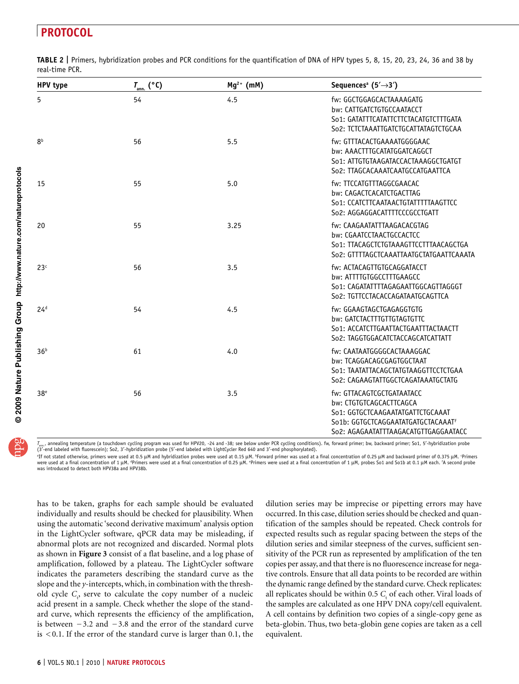| HPV type        | $T_{\text{ann.}}$ (°C) | $Mg^{2+}$ (mM) | Sequences <sup>a</sup> (5 $\rightarrow$ 3')                                                                                                                            |
|-----------------|------------------------|----------------|------------------------------------------------------------------------------------------------------------------------------------------------------------------------|
| 5               | 54                     | 4.5            | fw: GGCTGGAGCACTAAAAGATG<br>bw: CATTGATCTGTGCCAATACCT<br>So1: GATATTTCATATTCTTCTACATGTCTTTGATA<br>So2: TCTCTAAATTGATCTGCATTATAGTCTGCAA                                 |
| 8 <sup>b</sup>  | 56                     | 5.5            | fw: GTTTACACTGAAAATGGGGAAC<br>bw: AAACTTTGCATATGGATCAGGCT<br>So1: ATTGTGTAAGATACCACTAAAGGCTGATGT<br>So2: TTAGCACAAATCAATGCCATGAATTCA                                   |
| 15              | 55                     | 5.0            | fw: TTCCATGTTTAGGCGAACAC<br>bw: CAGACTCACATCTGACTTAG<br>So1: CCATCTTCAATAACTGTATTTTTAAGTTCC<br>So2: AGGAGGACATTTTCCCGCCTGATT                                           |
| 20              | 55                     | 3.25           | fw: CAAGAATATTTAAGACACGTAG<br>bw: CGAATCCTAACTGCCACTCC<br>So1: TTACAGCTCTGTAAAGTTCCTTTAACAGCTGA<br>So2: GTTTTAGCTCAAATTAATGCTATGAATTCAAATA                             |
| 23 <sup>c</sup> | 56                     | 3.5            | fw: ACTACAGTTGTGCAGGATACCT<br>bw: ATTTTGTGGCCTTTGAAGCC<br>So1: CAGATATTTTAGAGAATTGGCAGTTAGGGT<br>So2: TGTTCCTACACCAGATAATGCAGTTCA                                      |
| 24 <sup>d</sup> | 54                     | 4.5            | fw: GGAAGTAGCTGAGAGGTGTG<br>bw: GATCTACTTTGTTGTAGTGTTC<br>So1: ACCATCTTGAATTACTGAATTTACTAACTT<br>So2: TAGGTGGACATCTACCAGCATCATTATT                                     |
| 36 <sup>b</sup> | 61                     | 4.0            | fw: CAATAATGGGGCACTAAAGGAC<br>bw: TCAGGACAGCGAGTGGCTAAT<br>So1: TAATATTACAGCTATGTAAGGTTCCTCTGAA<br>So2: CAGAAGTATTGGCTCAGATAAATGCTATG                                  |
| 38 <sup>e</sup> | 56                     | 3.5            | fw: GTTACAGTCGCTGATAATACC<br>bw: CTGTGTCAGCACTTCAGCA<br>So1: GGTGCTCAAGAATATGATTCTGCAAAT<br>So1b: GGTGCTCAGGAATATGATGCTACAAATF<br>So2: AGAGAATATTTAAGACATGTTGAGGAATACC |

<span id="page-5-0"></span>**Table 2 |** Primers, hybridization probes and PCR conditions for the quantification of DNA of HPV types 5, 8, 15, 20, 23, 24, 36 and 38 by real-time PCR.

annealing temperature (a touchdown cycling program was used for HPV20, -24 and -38; see below under PCR cycling conditions). fw, forward primer; bw, backward primer; So1, 5'-hybridization probe  $T_{\text{ann},s}$ , annealing temperature (a touchdown cycling program was used for HPV20, -24 and -38; see below under PCR cycling condition (3<sup>7</sup>-end labeled with fluorescein); So2, 3<sup>7</sup>-hybridization probe (5<sup>7</sup>-end labeled w

If not stated otherwise, primers were used at 0.5 μM and hybridization probes were used at 0.15 μM. Porward primer was used at a final concentration of 0.25 μM and backward primer of 0.375 μM. 'Primers' were used at a final concentration of 1 μM. 'Primers were used at a final concentration of 0.25 μM. 'Primers were used at a final concentration of 1 μM, probes So1 and So1b at 0.1 μM each. 'A second probe was introduced to detect both HPV38a and HPV38b.

has to be taken, graphs for each sample should be evaluated individually and results should be checked for plausibility. When using the automatic 'second derivative maximum' analysis option in the LightCycler software, qPCR data may be misleading, if abnormal plots are not recognized and discarded. Normal plots as shown in **[Figure 3](#page-6-0)** consist of a flat baseline, and a log phase of amplification, followed by a plateau. The LightCycler software indicates the parameters describing the standard curve as the slope and the *y*-intercepts, which, in combination with the threshold cycle  $C_t$ , serve to calculate the copy number of a nucleic acid present in a sample. Check whether the slope of the standard curve, which represents the efficiency of the amplification, is between −3.2 and −3.8 and the error of the standard curve is <0.1. If the error of the standard curve is larger than 0.1, the dilution series may be imprecise or pipetting errors may have occurred. In this case, dilution series should be checked and quantification of the samples should be repeated. Check controls for expected results such as regular spacing between the steps of the dilution series and similar steepness of the curves, sufficient sensitivity of the PCR run as represented by amplification of the ten copies per assay, and that there is no fluorescence increase for negative controls. Ensure that all data points to be recorded are within the dynamic range defined by the standard curve. Check replicates: all replicates should be within  $0.5 C_{\text{t}}$  of each other. Viral loads of the samples are calculated as one HPV DNA copy/cell equivalent. A cell contains by definition two copies of a single-copy gene as beta-globin. Thus, two beta-globin gene copies are taken as a cell equivalent.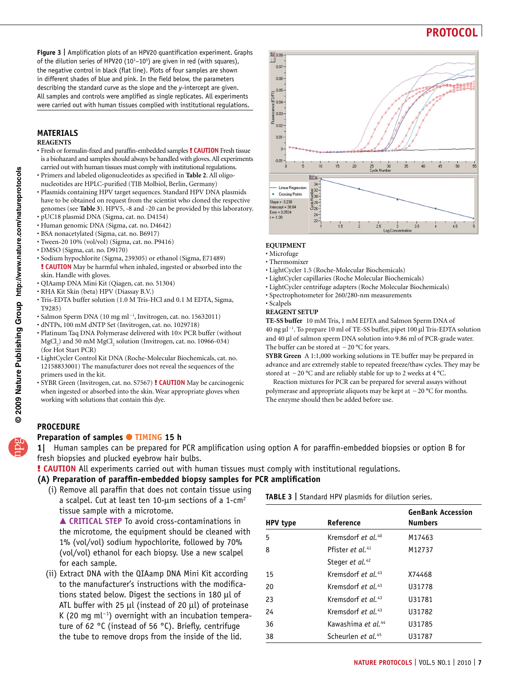<span id="page-6-0"></span>**Figure 3 |** Amplification plots of an HPV20 quantification experiment. Graphs of the dilution series of HPV20  $(10^{1}-10^{5})$  are given in red (with squares), the negative control in black (flat line). Plots of four samples are shown in different shades of blue and pink. In the field below, the parameters describing the standard curve as the slope and the *y*-intercept are given. All samples and controls were amplified as single replicates. All experiments were carried out with human tissues complied with institutional regulations.

### **MATERIALS**

#### **REAGENTS**

- Fresh or formalin-fixed and paraffin-embedded samples **! CAUTION** Fresh tissue is a biohazard and samples should always be handled with gloves. All experiments carried out with human tissues must comply with institutional regulations.
- Primers and labeled oligonucleotides as specified in **[Table 2](#page-5-0)**. All oligo-• nucleotides are HPLC-purified (TIB Molbiol, Berlin, Germany)
- Plasmids containing HPV target sequences. Standard HPV DNA plasmids have to be obtained on request from the scientist who cloned the respective genomes (see **[Table 3](#page-6-1)**). HPV5, -8 and -20 can be provided by this laboratory.
- pUC18 plasmid DNA (Sigma, cat. no. D4154) •
- Human genomic DNA (Sigma, cat. no. D4642) •
- BSA nonacetylated (Sigma, cat. no. B6917) •
- Tween-20 10% (vol/vol) (Sigma, cat. no. P9416) •
- DMSO (Sigma, cat. no. D9170) •
- Sodium hypochlorite (Sigma, 239305) or ethanol (Sigma, E71489) ! **CAUTION** May be harmful when inhaled, ingested or absorbed into the skin. Handle with gloves.
- QIAamp DNA Mini Kit (Qiagen, cat. no. 51304) •
- RHA Kit Skin (beta) HPV (Diassay B.V.) •
- Tris-EDTA buffer solution (1.0 M Tris-HCl and 0.1 M EDTA, Sigma, T9285)
- Salmon Sperm DNA (10 mg ml−1 , Invitrogen, cat. no. 15632011) •
- dNTPs, 100 mM dNTP Set (Invitrogen, cat. no. 1029718) •
- Platinum Taq DNA Polymerase delivered with 10× PCR buffer (without  $MgCl<sub>2</sub>$ ) and 50 mM  $MgCl<sub>2</sub>$  solution (Invitrogen, cat. no. 10966-034) (for Hot Start PCR)
- LightCycler Control Kit DNA (Roche-Molecular Biochemicals, cat. no. 12158833001) The manufacturer does not reveal the sequences of the primers used in the kit.
- SYBR Green (Invitrogen, cat. no. S7567) **! CAUTION** May be carcinogenic when ingested or absorbed into the skin. Wear appropriate gloves when working with solutions that contain this dye.



#### **EQUIPMENT**

- Microfuge •
- Thermomixer •
- LightCycler 1.5 (Roche-Molecular Biochemicals) •
- LightCycler capillaries (Roche Molecular Biochemicals) •
- LightCycler centrifuge adapters (Roche Molecular Biochemicals) •
- Spectrophotometer for 260/280-nm measurements •
- Scalpels

#### **REAGENT SETUP**

**TE-SS buffer** 10 mM Tris, 1 mM EDTA and Salmon Sperm DNA of 40 ng µl −1 . To prepare 10 ml of TE-SS buffer, pipet 100 µl Tris-EDTA solution and 40 µl of salmon sperm DNA solution into 9.86 ml of PCR-grade water. The buffer can be stored at −20 °C for years.

**SYBR Green** A 1:1,000 working solutions in TE buffer may be prepared in advance and are extremely stable to repeated freeze/thaw cycles. They may be stored at −20 °C and are reliably stable for up to 2 weeks at 4 °C.

Reaction mixtures for PCR can be prepared for several assays without polymerase and appropriate aliquots may be kept at −20 °C for months. The enzyme should then be added before use.

### **PROCEDURE**

#### **Preparation of samples** ● **TIMING 15 h**

**1|** Human samples can be prepared for PCR amplification using option A for paraffin-embedded biopsies or option B for fresh biopsies and plucked eyebrow hair bulbs.

! **CAUTION** All experiments carried out with human tissues must comply with institutional regulations.

#### **(A) Preparation of paraffin-embedded biopsy samples for PCR amplification**

(i) Remove all paraffin that does not contain tissue using a scalpel. Cut at least ten  $10$ - $\mu$ m sections of a 1-cm<sup>2</sup> tissue sample with a microtome.

 **CRITICAL STEP** To avoid cross-contaminations in the microtome, the equipment should be cleaned with 1% (vol/vol) sodium hypochlorite, followed by 70% (vol/vol) ethanol for each biopsy. Use a new scalpel for each sample.

(ii) Extract DNA with the QIAamp DNA Mini Kit according to the manufacturer's instructions with the modifications stated below. Digest the sections in 180 µl of ATL buffer with 25  $\mu$ l (instead of 20  $\mu$ l) of proteinase K (20 mg ml−1 ) overnight with an incubation temperature of 62 °C (instead of 56 °C). Briefly, centrifuge the tube to remove drops from the inside of the lid.

<span id="page-6-1"></span>**Table 3 |** Standard HPV plasmids for dilution series.

|          |                                       | <b>GenBank Accession</b> |
|----------|---------------------------------------|--------------------------|
| HPV type | Reference                             | <b>Numbers</b>           |
| 5        | Kremsdorf et al. <sup>40</sup>        | M17463                   |
| 8        | Pfister et al. <sup>41</sup>          | M12737                   |
|          | Steger et al. <sup>42</sup>           |                          |
| 15       | Kremsdorf <i>et al.</i> <sup>43</sup> | X74468                   |
| 20       | Kremsdorf <i>et al.</i> <sup>43</sup> | U31778                   |
| 23       | Kremsdorf <i>et al.</i> <sup>43</sup> | U31781                   |
| 24       | Kremsdorf et al. <sup>43</sup>        | U31782                   |
| 36       | Kawashima et al. <sup>44</sup>        | U31785                   |
| 38       | Scheurlen et al. <sup>45</sup>        | U31787                   |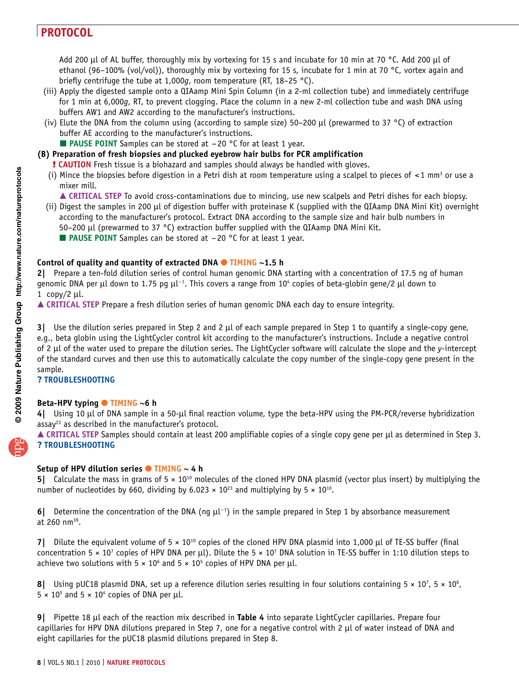Add 200 µl of AL buffer, thoroughly mix by vortexing for 15 s and incubate for 10 min at 70 °C. Add 200 µl of ethanol (96–100% (vol/vol)), thoroughly mix by vortexing for 15 s, incubate for 1 min at 70 °C, vortex again and briefly centrifuge the tube at 1,000*g*, room temperature (RT, 18–25 °C).

- (iii) Apply the digested sample onto a QIAamp Mini Spin Column (in a 2-ml collection tube) and immediately centrifuge for 1 min at 6,000*g*, RT, to prevent clogging. Place the column in a new 2-ml collection tube and wash DNA using buffers AW1 and AW2 according to the manufacturer's instructions.
- (iv) Elute the DNA from the column using (according to sample size) 50–200 µl (prewarmed to 37 °C) of extraction buffer AE according to the manufacturer's instructions.
	- **PAUSE POINT** Samples can be stored at −20 °C for at least 1 year.
- **(B) Preparation of fresh biopsies and plucked eyebrow hair bulbs for PCR amplification**
- ! **CAUTION** Fresh tissue is a biohazard and samples should always be handled with gloves.
- (i) Mince the biopsies before digestion in a Petri dish at room temperature using a scalpel to pieces of  $<$  1 mm<sup>3</sup> or use a mixer mill.
	- **CRITICAL STEP** To avoid cross-contaminations due to mincing, use new scalpels and Petri dishes for each biopsy.
- (ii) Digest the samples in 200 µl of digestion buffer with proteinase K (supplied with the QIAamp DNA Mini Kit) overnight according to the manufacturer's protocol. Extract DNA according to the sample size and hair bulb numbers in 50–200 µl (prewarmed to 37 °C) extraction buffer supplied with the QIAamp DNA Mini Kit. ■ **PAUSE POINT** Samples can be stored at −20 °C for at least 1 year.

## **Control of quality and quantity of extracted DNA** ● **TIMING ~1.5 h**

**2|** Prepare a ten-fold dilution series of control human genomic DNA starting with a concentration of 17.5 ng of human genomic DNA per µl down to 1.75 pg µl<sup>-1</sup>. This covers a range from 10<sup>4</sup> copies of beta-globin gene/2 µl down to 1 copy/2  $\mu$ l.

**CRITICAL STEP** Prepare a fresh dilution series of human genomic DNA each day to ensure integrity.

**3|** Use the dilution series prepared in Step 2 and 2 µl of each sample prepared in Step 1 to quantify a single-copy gene, e.g., beta globin using the LightCycler control kit according to the manufacturer's instructions. Include a negative control of 2 µl of the water used to prepare the dilution series. The LightCycler software will calculate the slope and the *y*-intercept of the standard curves and then use this to automatically calculate the copy number of the single-copy gene present in the sample.

### ? **TROUBLESHOOTING**

### **Beta-HPV typing ● TIMING ~6 h**

**4|** Using 10 µl of DNA sample in a 50-µl final reaction volume, type the beta-HPV using the PM-PCR/reverse hybridization assay<sup>[23](#page-11-7)</sup> as described in the manufacturer's protocol.

 **CRITICAL STEP** Samples should contain at least 200 amplifiable copies of a single copy gene per µl as determined in Step 3. ? **TROUBLESHOOTING**

### **Setup of HPV dilution series** ● **TIMING ~ 4 h**

**5|** Calculate the mass in grams of 5 × 1010 molecules of the cloned HPV DNA plasmid (vector plus insert) by multiplying the number of nucleotides by 660, dividing by 6.023  $\times$  10<sup>23</sup> and multiplying by 5  $\times$  10<sup>10</sup>.

**6** Determine the concentration of the DNA (ng μl<sup>-1</sup>) in the sample prepared in Step 1 by absorbance measurement at 260 nm<sup>[39](#page-12-4)</sup>.

**7** Dilute the equivalent volume of 5 x 10<sup>10</sup> copies of the cloned HPV DNA plasmid into 1,000 µl of TE-SS buffer (final concentration  $5 \times 10^7$  copies of HPV DNA per  $\mu$ l). Dilute the  $5 \times 10^7$  DNA solution in TE-SS buffer in 1:10 dilution steps to achieve two solutions with  $5 \times 10^6$  and  $5 \times 10^5$  copies of HPV DNA per  $\mu$ l.

**8** Using pUC18 plasmid DNA, set up a reference dilution series resulting in four solutions containing  $5 \times 10^7$ ,  $5 \times 10^6$ ,  $5 \times 10^5$  and  $5 \times 10^4$  copies of DNA per µl.

**9|** Pipette 18 µl each of the reaction mix described in **[Table 4](#page-8-0)** into separate LightCycler capillaries. Prepare four capillaries for HPV DNA dilutions prepared in Step 7, one for a negative control with 2 µl of water instead of DNA and eight capillaries for the pUC18 plasmid dilutions prepared in Step 8.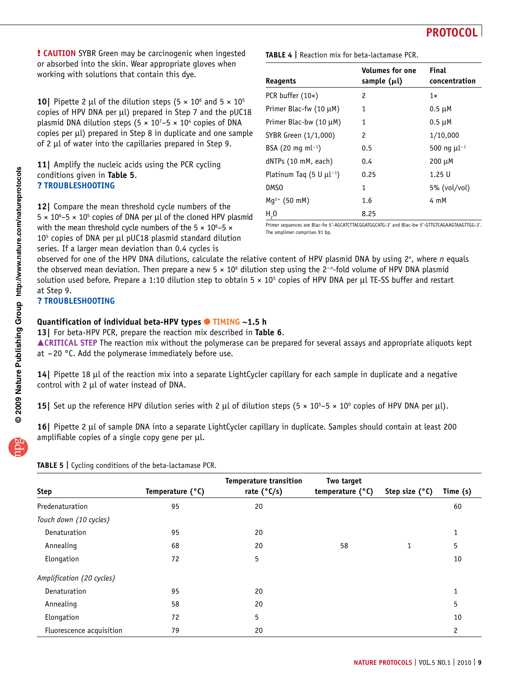# **PROTOCO**

**! CAUTION** SYBR Green may be carcinogenic when ingested or absorbed into the skin. Wear appropriate gloves when working with solutions that contain this dye.

**10** Pipette 2 µl of the dilution steps ( $5 \times 10^6$  and  $5 \times 10^5$ copies of HPV DNA per µl) prepared in Step 7 and the pUC18 plasmid DNA dilution steps ( $5 \times 10^{7}$ – $5 \times 10^{4}$  copies of DNA copies per  $\mu$ ) prepared in Step 8 in duplicate and one sample of 2 µl of water into the capillaries prepared in Step 9.

**11|** Amplify the nucleic acids using the PCR cycling conditions given in **[Table 5](#page-8-1)**. ? **TROUBLESHOOTING**

**12|** Compare the mean threshold cycle numbers of the  $5 \times 10^{6}$  – 5  $\times 10^{5}$  copies of DNA per µl of the cloned HPV plasmid with the mean threshold cycle numbers of the  $5 \times 10^{6} - 5 \times$ 105 copies of DNA per µl pUC18 plasmid standard dilution series. If a larger mean deviation than 0.4 cycles is

<span id="page-8-0"></span>**Table 4 |** Reaction mix for beta-lactamase PCR.

| Reagents                                 | <b>Volumes for one</b><br>sample $(\mu l)$ | <b>Final</b><br>concentration |
|------------------------------------------|--------------------------------------------|-------------------------------|
| PCR buffer $(10x)$                       | 2                                          | 1×                            |
| Primer Blac-fw $(10 \mu M)$              | 1                                          | $0.5 \mu M$                   |
| Primer Blac-bw $(10 \mu M)$              | 1                                          | $0.5 \mu M$                   |
| SYBR Green (1/1,000)                     | 2                                          | 1/10,000                      |
| BSA $(20 \text{ mg } \text{ml}^{-1})$    | 0.5                                        | 500 ng $\mu l^{-1}$           |
| dNTPs (10 mM, each)                      | 0.4                                        | 200 µM                        |
| Platinum Tag $(5 \text{ U } \mu l^{-1})$ | 0.25                                       | 1.25U                         |
| DMS <sub>0</sub>                         | 1                                          | 5% (vol/vol)                  |
| $Mq^{2+}$ (50 mM)                        | 1.6                                        | 4 mM                          |
| H <sub>2</sub> 0                         | 8.25                                       |                               |

Primer sequences are Blac-fw 5′-AGCATCTTACGGATGGCATG-3′ and Blac-bw 5′-GTTGTCAGAAGTAAGTTGG-3′. The amplimer comprises 91 bp.

observed for one of the HPV DNA dilutions, calculate the relative content of HPV plasmid DNA by using 2*<sup>n</sup>* , where *n* equals the observed mean deviation. Then prepare a new 5 × 10<sup>6</sup> dilution step using the 2<sup>-*n*</sup>-fold volume of HPV DNA plasmid solution used before. Prepare a 1:10 dilution step to obtain  $5 \times 10^5$  copies of HPV DNA per µl TE-SS buffer and restart at Step 9.

### ? **TROUBLESHOOTING**

### **Quantification of individual beta-HPV types** ● **TIMING ~1.5 h**

**13|** For beta-HPV PCR, prepare the reaction mix described in **[Table 6](#page-9-0)**. **CRITICAL STEP** The reaction mix without the polymerase can be prepared for several assays and appropriate aliquots kept at − 20 °C. Add the polymerase immediately before use.

**14|** Pipette 18 µl of the reaction mix into a separate LightCycler capillary for each sample in duplicate and a negative control with 2 µl of water instead of DNA.

**15** Set up the reference HPV dilution series with 2 µl of dilution steps ( $5 \times 10^5 - 5 \times 10^0$  copies of HPV DNA per µl).

**16|** Pipette 2 µl of sample DNA into a separate LightCycler capillary in duplicate. Samples should contain at least 200 amplifiable copies of a single copy gene per  $\mu$ l.

<span id="page-8-1"></span>

|  |  | TABLE 5   Cycling conditions of the beta-lactamase PCR. |  |  |  |  |
|--|--|---------------------------------------------------------|--|--|--|--|
|--|--|---------------------------------------------------------|--|--|--|--|

|                           |                    | <b>Temperature transition</b> | Two target         |                  |                |
|---------------------------|--------------------|-------------------------------|--------------------|------------------|----------------|
| <b>Step</b>               | Temperature $(°C)$ | rate $(^{\circ}C/s)$          | temperature $(°C)$ | Step size $(°C)$ | Time (s)       |
| Predenaturation           | 95                 | 20                            |                    |                  | 60             |
| Touch down (10 cycles)    |                    |                               |                    |                  |                |
| Denaturation              | 95                 | 20                            |                    |                  | 1              |
| Annealing                 | 68                 | 20                            | 58                 | 1                | 5              |
| Elongation                | 72                 | 5                             |                    |                  | 10             |
| Amplification (20 cycles) |                    |                               |                    |                  |                |
| Denaturation              | 95                 | 20                            |                    |                  | $\mathbf{1}$   |
| Annealing                 | 58                 | 20                            |                    |                  | 5              |
| Elongation                | 72                 | 5                             |                    |                  | 10             |
| Fluorescence acquisition  | 79                 | 20                            |                    |                  | $\overline{c}$ |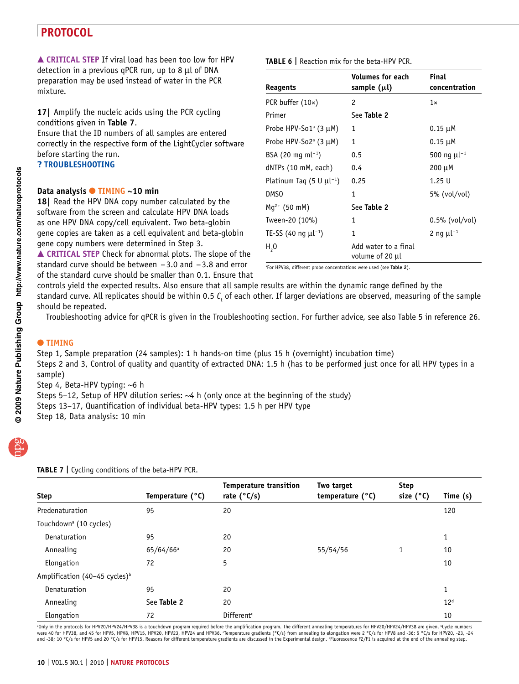**CRITICAL STEP** If viral load has been too low for HPV detection in a previous qPCR run, up to 8 µl of DNA preparation may be used instead of water in the PCR mixture.

**17|** Amplify the nucleic acids using the PCR cycling conditions given in **[Table 7](#page-9-1)**.

Ensure that the ID numbers of all samples are entered correctly in the respective form of the LightCycler software before starting the run.

#### ? **TROUBLESHOOTING**

#### **Data analysis** ● **TIMING ~10 min**

**18|** Read the HPV DNA copy number calculated by the software from the screen and calculate HPV DNA loads as one HPV DNA copy/cell equivalent. Two beta-globin gene copies are taken as a cell equivalent and beta-globin gene copy numbers were determined in Step 3.

 **CRITICAL STEP** Check for abnormal plots. The slope of the standard curve should be between − 3.0 and − 3.8 and error of the standard curve should be smaller than 0.1. Ensure that <span id="page-9-0"></span>**Table 6 |** Reaction mix for the beta-HPV PCR.

| Reagents                                 | <b>Volumes for each</b><br>sample $(\mu l)$ | Final<br>concentration       |
|------------------------------------------|---------------------------------------------|------------------------------|
| PCR buffer (10×)                         | $\mathfrak{p}$                              | $1\times$                    |
| Primer                                   | See Table 2                                 |                              |
| Probe HPV-So1 <sup>ª</sup> (3 $\mu$ M)   | 1                                           | $0.15 \mu$ M                 |
| Probe HPV-So2 <sup>ª</sup> (3 $\mu$ M)   | $\mathbf{1}$                                | $0.15 \mu M$                 |
| $BSA (20 mg ml-1)$                       | 0.5                                         | 500 ng $\mu$ l <sup>-1</sup> |
| dNTPs (10 mM, each)                      | 0.4                                         | 200 µM                       |
| Platinum Tag $(5 \text{ U } \mu l^{-1})$ | 0.25                                        | 1.25U                        |
| DMS <sub>0</sub>                         | 1                                           | 5% (vol/vol)                 |
| $Mq^{2+}$ (50 mM)                        | See Table 2                                 |                              |
| Tween-20 (10%)                           | 1                                           | $0.5\%$ (vol/vol)            |
| TE-SS (40 ng $\mu$ l <sup>-1</sup> )     | $\mathbf{1}$                                | 2 ng $\mu$ l <sup>-1</sup>   |
| H <sub>2</sub> 0                         | Add water to a final<br>volume of 20 µl     |                              |

a For HPV38, different probe concentrations were used (see **Table 2**).

controls yield the expected results. Also ensure that all sample results are within the dynamic range defined by the standard curve. All replicates should be within 0.5  $\mathcal{C}_{\rm t}$  of each other. If larger deviations are observed, measuring of the sample should be repeated.

Troubleshooting advice for qPCR is given in the Troubleshooting section. For further advice, see also Table 5 in reference 26.

#### ● **TIMING**

Step 1, Sample preparation (24 samples): 1 h hands-on time (plus 15 h (overnight) incubation time) Steps 2 and 3, Control of quality and quantity of extracted DNA: 1.5 h (has to be performed just once for all HPV types in a sample)

Step 4, Beta-HPV typing: ~6 h

Steps 5–12, Setup of HPV dilution series:  $\sim$ 4 h (only once at the beginning of the study)

Steps 13–17, Quantification of individual beta-HPV types: 1.5 h per HPV type

Step 18, Data analysis: 10 min

<span id="page-9-1"></span>**Table 7 |** Cycling conditions of the beta-HPV PCR.

|                                           |                         | <b>Temperature transition</b> | Two target         | <b>Step</b> |                 |
|-------------------------------------------|-------------------------|-------------------------------|--------------------|-------------|-----------------|
| <b>Step</b>                               | Temperature (°C)        | rate $(^{\circ}C/s)$          | temperature $(°C)$ | size (°C)   | Time (s)        |
| Predenaturation                           | 95                      | 20                            |                    |             | 120             |
| Touchdown <sup>ª</sup> (10 cycles)        |                         |                               |                    |             |                 |
| Denaturation                              | 95                      | 20                            |                    |             | $\mathbf{1}$    |
| Annealing                                 | $65/64/66$ <sup>a</sup> | 20                            | 55/54/56           | 1           | 10              |
| Elongation                                | 72                      | 5                             |                    |             | 10              |
| Amplification (40-45 cycles) <sup>b</sup> |                         |                               |                    |             |                 |
| Denaturation                              | 95                      | 20                            |                    |             | $\mathbf{1}$    |
| Annealing                                 | See Table 2             | 20                            |                    |             | 12 <sup>d</sup> |
| Elongation                                | 72                      | Different <sup>c</sup>        |                    |             | 10              |

a Only in the protocols for HPV20/HPV24/HPV38 is a touchdown program required before the amplification program. The different annealing temperatures for HPV20/HPV24/HPV38 are given. b Cycle numbers 40 for HPV38, and 45 for HPV5, HPV8, HPV15, HPV20, HPV23, HPV24 and HPV36. Temperature gradients (°C/s) from annealing to elo ngation were 2 °C/s for HPV8 and -36; 5 °C/s for HPV20, -23, -24 and -38; 10 °C/s for HPV5 and 20 °C/s for HPV15. Reasons for different temperature gradients are discussed in the Experimental design. "Fluorescence F2/F1 is acquired at the end of the annealing step.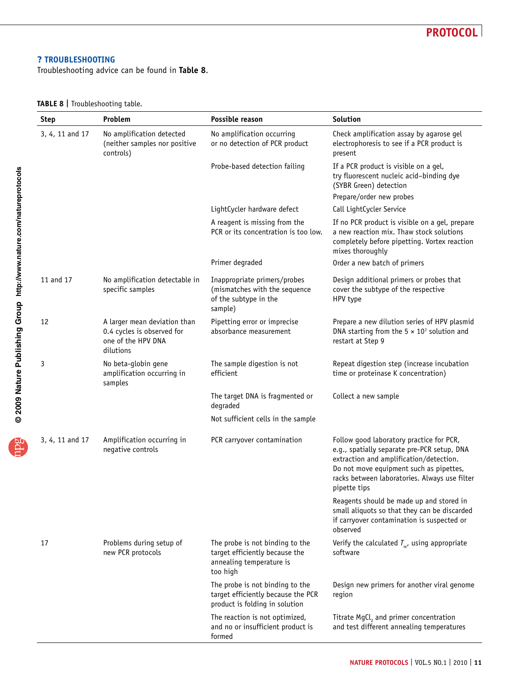## ? **TROUBLESHOOTING**

Troubleshooting advice can be found in **Table 8**.

| TABLE 8   Troubleshooting table. |  |  |  |  |
|----------------------------------|--|--|--|--|
|----------------------------------|--|--|--|--|

| <b>Step</b>     | Problem                                                                                       | Possible reason                                                                                           | Solution                                                                                                                                                                                                                                       |
|-----------------|-----------------------------------------------------------------------------------------------|-----------------------------------------------------------------------------------------------------------|------------------------------------------------------------------------------------------------------------------------------------------------------------------------------------------------------------------------------------------------|
| 3, 4, 11 and 17 | No amplification detected<br>(neither samples nor positive<br>controls)                       | No amplification occurring<br>or no detection of PCR product                                              | Check amplification assay by agarose gel<br>electrophoresis to see if a PCR product is<br>present                                                                                                                                              |
|                 |                                                                                               | Probe-based detection failing                                                                             | If a PCR product is visible on a gel,<br>try fluorescent nucleic acid-binding dye<br>(SYBR Green) detection                                                                                                                                    |
|                 |                                                                                               |                                                                                                           | Prepare/order new probes                                                                                                                                                                                                                       |
|                 |                                                                                               | LightCycler hardware defect                                                                               | Call LightCycler Service                                                                                                                                                                                                                       |
|                 |                                                                                               | A reagent is missing from the<br>PCR or its concentration is too low.                                     | If no PCR product is visible on a gel, prepare<br>a new reaction mix. Thaw stock solutions<br>completely before pipetting. Vortex reaction<br>mixes thoroughly                                                                                 |
|                 |                                                                                               | Primer degraded                                                                                           | Order a new batch of primers                                                                                                                                                                                                                   |
| 11 and 17       | No amplification detectable in<br>specific samples                                            | Inappropriate primers/probes<br>(mismatches with the sequence<br>of the subtype in the<br>sample)         | Design additional primers or probes that<br>cover the subtype of the respective<br>HPV type                                                                                                                                                    |
| 12              | A larger mean deviation than<br>0.4 cycles is observed for<br>one of the HPV DNA<br>dilutions | Pipetting error or imprecise<br>absorbance measurement                                                    | Prepare a new dilution series of HPV plasmid<br>DNA starting from the $5 \times 10^7$ solution and<br>restart at Step 9                                                                                                                        |
| 3               | No beta-globin gene<br>amplification occurring in<br>samples                                  | The sample digestion is not<br>efficient                                                                  | Repeat digestion step (increase incubation<br>time or proteinase K concentration)                                                                                                                                                              |
|                 |                                                                                               | The target DNA is fragmented or<br>degraded                                                               | Collect a new sample                                                                                                                                                                                                                           |
|                 |                                                                                               | Not sufficient cells in the sample                                                                        |                                                                                                                                                                                                                                                |
| 3, 4, 11 and 17 | Amplification occurring in<br>negative controls                                               | PCR carryover contamination                                                                               | Follow good laboratory practice for PCR,<br>e.g., spatially separate pre-PCR setup, DNA<br>extraction and amplification/detection.<br>Do not move equipment such as pipettes,<br>racks between laboratories. Always use filter<br>pipette tips |
|                 |                                                                                               |                                                                                                           | Reagents should be made up and stored in<br>small aliquots so that they can be discarded<br>if carryover contamination is suspected or<br>observed                                                                                             |
| 17              | Problems during setup of<br>new PCR protocols                                                 | The probe is not binding to the<br>target efficiently because the<br>annealing temperature is<br>too high | Verify the calculated $T_m$ , using appropriate<br>software                                                                                                                                                                                    |
|                 |                                                                                               | The probe is not binding to the<br>target efficiently because the PCR<br>product is folding in solution   | Design new primers for another viral genome<br>region                                                                                                                                                                                          |
|                 |                                                                                               | The reaction is not optimized,<br>and no or insufficient product is<br>formed                             | Titrate MgCl, and primer concentration<br>and test different annealing temperatures                                                                                                                                                            |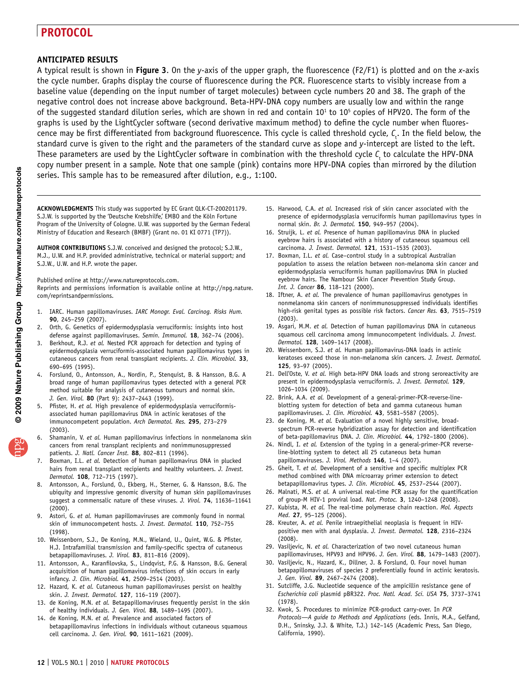#### **ANTICIPATED RESULTS**

A typical result is shown in **[Figure 3](#page-6-0)**. On the *y*-axis of the upper graph, the fluorescence (F2/F1) is plotted and on the *x*-axis the cycle number. Graphs display the course of fluorescence during the PCR. Fluorescence starts to visibly increase from a baseline value (depending on the input number of target molecules) between cycle numbers 20 and 38. The graph of the negative control does not increase above background. Beta-HPV-DNA copy numbers are usually low and within the range of the suggested standard dilution series, which are shown in red and contain  $10^1$  to  $10^5$  copies of HPV20. The form of the graphs is used by the LightCycler software (second derivative maximum method) to define the cycle number when fluorescence may be first differentiated from background fluorescence. This cycle is called threshold cycle,  $\mathcal{C}_{\rm t}$ . In the field below, the standard curve is given to the right and the parameters of the standard curve as slope and *y*-intercept are listed to the left. These parameters are used by the LightCycler software in combination with the threshold cycle  $\mathcal{C}_{_{\sf t}}$  to calculate the HPV-DNA copy number present in a sample. Note that one sample (pink) contains more HPV-DNA copies than mirrored by the dilution series. This sample has to be remeasured after dilution, e.g., 1:100.

**Acknowledgments** This study was supported by EC Grant QLK-CT-200201179. S.J.W. is supported by the 'Deutsche Krebshilfe,' EMBO and the Köln Fortune Program of the University of Cologne. U.W. was supported by the German Federal Ministry of Education and Research (BMBF) (Grant no. 01 KI 0771 (TP7)).

**AUTHOR CONTRIBUTIONS** S.J.W. conceived and designed the protocol; S.J.W., M.J., U.W. and H.P. provided administrative, technical or material support; and S.J.W., U.W. and H.P. wrote the paper.

Published online at http://www.natureprotocols.com.

Reprints and permissions information is available online at http://npg.nature. com/reprintsandpermissions.

- 1. IARC. Human papillomaviruses. *IARC Monogr. Eval. Carcinog. Risks Hum.* **90**, 245–259 (2007).
- Orth, G. Genetics of epidermodysplasia verruciformis: insights into host defense against papillomaviruses. *Semin. Immunol.* **18**, 362–74 (2006).
- 3. Berkhout, R.J. *et al.* Nested PCR approach for detection and typing of epidermodysplasia verruciformis-associated human papillomavirus types in cutaneous cancers from renal transplant recipients. *J. Clin. Microbiol.* **33**, 690–695 (1995).
- 4. Forslund, O., Antonsson, A., Nordin, P., Stenquist, B. & Hansson, B.G. A broad range of human papillomavirus types detected with a general PCR method suitable for analysis of cutaneous tumours and normal skin. *J. Gen. Virol.* **80** (Part 9): 2437–2443 (1999).
- Pfister, H. *et al.* High prevalence of epidermodysplasia verruciformisassociated human papillomavirus DNA in actinic keratoses of the immunocompetent population. *Arch Dermatol. Res.* **295**, 273–279 (2003).
- 6. Shamanin, V. *et al.* Human papillomavirus infections in nonmelanoma skin cancers from renal transplant recipients and nonimmunosuppressed patients. *J. Natl. Cancer Inst.* **88**, 802–811 (1996).
- <span id="page-11-12"></span>7. Boxman, I.L. *et al.* Detection of human papillomavirus DNA in plucked hairs from renal transplant recipients and healthy volunteers. *J. Invest. Dermatol.* **108**, 712–715 (1997).
- 8. Antonsson, A., Forslund, O., Ekberg, H., Sterner, G. & Hansson, B.G. The ubiquity and impressive genomic diversity of human skin papillomaviruses suggest a commensalic nature of these viruses. *J. Virol.* **74**, 11636–11641 (2000).
- 9. Astori, G. *et al.* Human papillomaviruses are commonly found in normal skin of immunocompetent hosts. *J. Invest. Dermatol.* **110**, 752–755 (1998).
- <span id="page-11-0"></span>10. Weissenborn, S.J., De Koning, M.N., Wieland, U., Quint, W.G. & Pfister, H.J. Intrafamilial transmission and family-specific spectra of cutaneous betapapillomaviruses. *J. Virol.* **83**, 811–816 (2009).
- 11. Antonsson, A., Karanfilovska, S., Lindqvist, P.G. & Hansson, B.G. General acquisition of human papillomavirus infections of skin occurs in early infancy. *J. Clin. Microbiol.* **41**, 2509–2514 (2003).
- 12. Hazard, K. *et al.* Cutaneous human papillomaviruses persist on healthy skin. *J. Invest. Dermatol.* **127**, 116–119 (2007).
- 13. de Koning, M.N. *et al.* Betapapillomaviruses frequently persist in the skin of healthy individuals. *J. Gen. Virol.* **88**, 1489–1495 (2007).
- <span id="page-11-1"></span>14. de Koning, M.N. *et al.* Prevalence and associated factors of betapapillomavirus infections in individuals without cutaneous squamous cell carcinoma. *J. Gen. Virol.* **90**, 1611–1621 (2009).
- 15. Harwood, C.A. *et al.* Increased risk of skin cancer associated with the presence of epidermodysplasia verruciformis human papillomavirus types in normal skin. *Br. J. Dermatol.* **150**, 949–957 (2004).
- 16. Struijk, L. *et al.* Presence of human papillomavirus DNA in plucked eyebrow hairs is associated with a history of cutaneous squamous cell carcinoma. *J. Invest. Dermatol.* **121**, 1531–1535 (2003).
- 17. Boxman, I.L. *et al.* Case–control study in a subtropical Australian population to assess the relation between non-melanoma skin cancer and epidermodysplasia verruciformis human papillomavirus DNA in plucked eyebrow hairs. The Nambour Skin Cancer Prevention Study Group. *Int. J. Cancer* **86**, 118–121 (2000).
- 18. Iftner, A. *et al.* The prevalence of human papillomavirus genotypes in nonmelanoma skin cancers of nonimmunosuppressed individuals identifies high-risk genital types as possible risk factors. *Cancer Res.* **63**, 7515–7519 (2003).
- 19. Asgari, M.M. *et al.* Detection of human papillomavirus DNA in cutaneous squamous cell carcinoma among immunocompetent individuals. *J. Invest. Dermatol.* **128**, 1409–1417 (2008).
- <span id="page-11-2"></span>20. Weissenborn, S.J. *et al.* Human papillomavirus-DNA loads in actinic keratoses exceed those in non-melanoma skin cancers. *J. Invest. Dermatol.* **125**, 93–97 (2005).
- <span id="page-11-3"></span>21. Dell'Oste, V. *et al.* High beta-HPV DNA loads and strong seroreactivity are present in epidermodysplasia verruciformis. *J. Invest. Dermatol.* **129**, 1026–1034 (2009).
- <span id="page-11-5"></span>22. Brink, A.A. *et al.* Development of a general-primer-PCR-reverse-lineblotting system for detection of beta and gamma cutaneous human papillomaviruses. *J. Clin. Microbiol.* **43**, 5581–5587 (2005).
- <span id="page-11-7"></span>23. de Koning, M. *et al.* Evaluation of a novel highly sensitive, broadspectrum PCR-reverse hybridization assay for detection and identification of beta-papillomavirus DNA. *J. Clin. Microbiol.* **44**, 1792–1800 (2006).
- <span id="page-11-6"></span>24. Nindl, I. *et al.* Extension of the typing in a general-primer-PCR reverseline-blotting system to detect all 25 cutaneous beta human papillomaviruses. *J. Virol. Methods* **146**, 1–4 (2007).
- <span id="page-11-4"></span>25. Gheit, T. *et al.* Development of a sensitive and specific multiplex PCR method combined with DNA microarray primer extension to detect betapapillomavirus types. *J. Clin. Microbiol.* **45**, 2537–2544 (2007).
- <span id="page-11-8"></span>26. Malnati, M.S. *et al.* A universal real-time PCR assay for the quantification of group-M HIV-1 proviral load. *Nat. Protoc.* **3**, 1240–1248 (2008).
- <span id="page-11-9"></span>27. Kubista, M. *et al.* The real-time polymerase chain reaction. *Mol. Aspects Med.* **27**, 95–125 (2006).
- 28. Kreuter, A. *et al.* Penile intraepithelial neoplasia is frequent in HIVpositive men with anal dysplasia. *J. Invest. Dermatol.* **128**, 2316–2324 (2008).
- 29. Vasiljevic, N. *et al.* Characterization of two novel cutaneous human papillomaviruses, HPV93 and HPV96. *J. Gen. Virol.* **88**, 1479–1483 (2007).
- 30. Vasiljevic, N., Hazard, K., Dillner, J. & Forslund, O. Four novel human betapapillomaviruses of species 2 preferentially found in actinic keratosis. *J. Gen. Virol.* **89**, 2467–2474 (2008).
- <span id="page-11-10"></span>31. Sutcliffe, J.G. Nucleotide sequence of the ampicillin resistance gene of *Escherichia coli* plasmid pBR322. *Proc. Natl. Acad. Sci. USA* **75**, 3737–3741 (1978).
- <span id="page-11-11"></span>32. Kwok, S. Procedures to minimize PCR-product carry-over. In *PCR Protocols—A guide to Methods and Applications* (eds. Innis, M.A., Gelfand, D.H., Sninsky, J.J. & White, T.J.) 142–145 (Academic Press, San Diego, California, 1990).